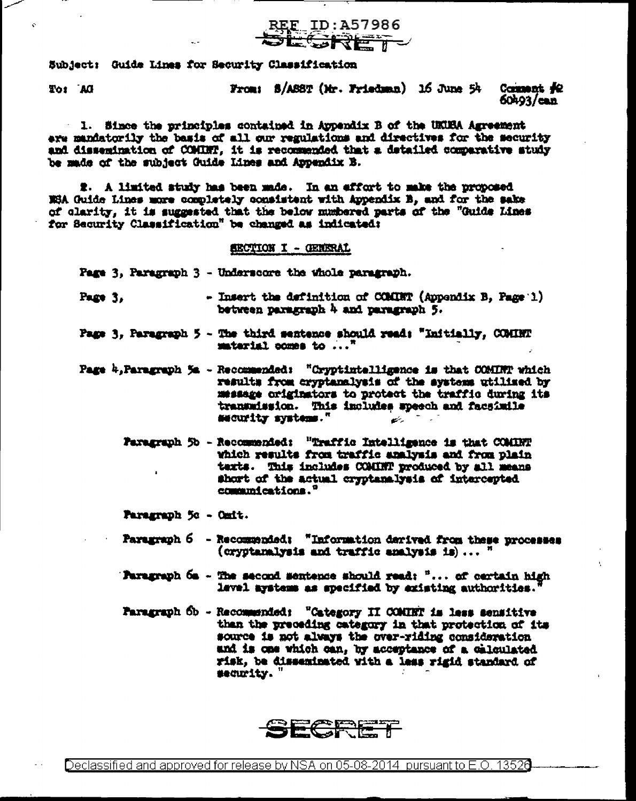

Subject: Guide Lines for Security Classification

DA 10T

From: S/ASST (Mr. Friedman) 16 June 54 Comment #2  $60493$ /can

1. Since the principles contained in Appendix B of the UKUSA Agreement ere mandatorily the basis of all our regulations and directives for the security and dissemination of COMINT, it is recommended that a detailed comparative study be made of the subject Guide Lines and Appendix B.

2. A limited study has been made. In an effort to make the proposed NGA Guide Lines more completely consistent with Appendix B, and for the sake of clarity, it is suggested that the below numbered parts of the "Guide Lines for Security Classification" be changed as indicated:

## SECTION I - GENERAL

Page 3, Paragraph 3 - Underscore the whole paragraph.

- Insert the definition of COMINT (Appendix B. Page 1) Page  $3.$ between paragraph 4 and paragraph 5.
- Page 3. Paragraph 5 The third sentence should read: "Initially. COMINT satarial comes to  $\ldots$ <sup>n</sup>
- Page  $k$ , Paragraph 5a Recommended: "Cryptintelligence is that COMINT which results from cryptanalysis of the systems utilized by message originators to protect the traffic during its transmission. This impludes speech and facsimile security systems." رشت
	- Paragraph 5b Recommended: "Traffic Intelligence is that COMINT which results from traffic analysis and from plain texts. This includes COMINT produced by all means short of the actual cryptanalysis of intercepted communications."

Paragraph 5c - Omit.

- Paragraph 6 Recommended: "Information derived from these processes (orypteralysis and traffic analysis is)...  $"$
- **Paragraph**  $6a -$  The second sentence should read:  $" \ldots$  of certain high level arstems as specified by existing authorities.'
- Paragraph Ob Recommended: "Category II COMUNT is less sensitive than the preceding category in that protection of its source is not always the over-riding consideration and is one which can, by acceptance of a calculated risk, be disseminated with a less rigid standard of security.